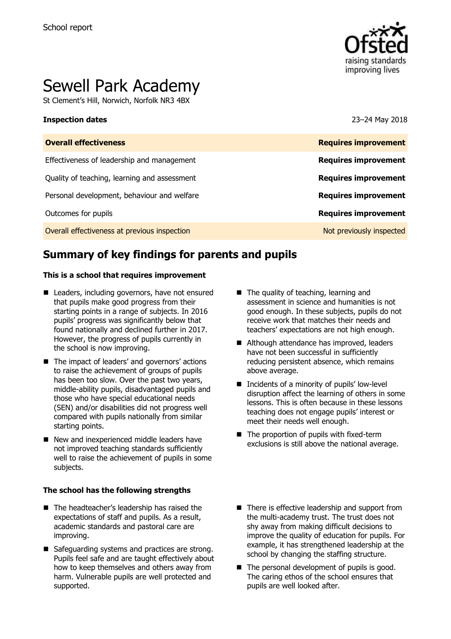

# Sewell Park Academy

St Clement's Hill, Norwich, Norfolk NR3 4BX

### **Inspection dates** 23–24 May 2018

| <b>Requires improvement</b> |
|-----------------------------|
| <b>Requires improvement</b> |
| <b>Requires improvement</b> |
| <b>Requires improvement</b> |
| <b>Requires improvement</b> |
| Not previously inspected    |
|                             |

# **Summary of key findings for parents and pupils**

### **This is a school that requires improvement**

- Leaders, including governors, have not ensured that pupils make good progress from their starting points in a range of subjects. In 2016 pupils' progress was significantly below that found nationally and declined further in 2017. However, the progress of pupils currently in the school is now improving.
- The impact of leaders' and governors' actions to raise the achievement of groups of pupils has been too slow. Over the past two years, middle-ability pupils, disadvantaged pupils and those who have special educational needs (SEN) and/or disabilities did not progress well compared with pupils nationally from similar starting points.
- New and inexperienced middle leaders have not improved teaching standards sufficiently well to raise the achievement of pupils in some subjects.

### **The school has the following strengths**

- The headteacher's leadership has raised the expectations of staff and pupils. As a result, academic standards and pastoral care are improving.
- Safeguarding systems and practices are strong. Pupils feel safe and are taught effectively about how to keep themselves and others away from harm. Vulnerable pupils are well protected and supported.
- The quality of teaching, learning and assessment in science and humanities is not good enough. In these subjects, pupils do not receive work that matches their needs and teachers' expectations are not high enough.
- Although attendance has improved, leaders have not been successful in sufficiently reducing persistent absence, which remains above average.
- $\blacksquare$  Incidents of a minority of pupils' low-level disruption affect the learning of others in some lessons. This is often because in these lessons teaching does not engage pupils' interest or meet their needs well enough.
- The proportion of pupils with fixed-term exclusions is still above the national average.
- There is effective leadership and support from the multi-academy trust. The trust does not shy away from making difficult decisions to improve the quality of education for pupils. For example, it has strengthened leadership at the school by changing the staffing structure.
- $\blacksquare$  The personal development of pupils is good. The caring ethos of the school ensures that pupils are well looked after.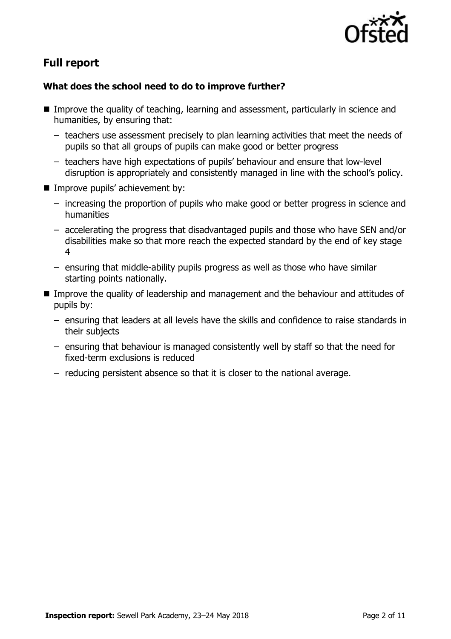

# **Full report**

### **What does the school need to do to improve further?**

- Improve the quality of teaching, learning and assessment, particularly in science and humanities, by ensuring that:
	- teachers use assessment precisely to plan learning activities that meet the needs of pupils so that all groups of pupils can make good or better progress
	- teachers have high expectations of pupils' behaviour and ensure that low-level disruption is appropriately and consistently managed in line with the school's policy.
- **IMPROVE pupils' achievement by:** 
	- increasing the proportion of pupils who make good or better progress in science and humanities
	- accelerating the progress that disadvantaged pupils and those who have SEN and/or disabilities make so that more reach the expected standard by the end of key stage 4
	- ensuring that middle-ability pupils progress as well as those who have similar starting points nationally.
- Improve the quality of leadership and management and the behaviour and attitudes of pupils by:
	- ensuring that leaders at all levels have the skills and confidence to raise standards in their subjects
	- ensuring that behaviour is managed consistently well by staff so that the need for fixed-term exclusions is reduced
	- reducing persistent absence so that it is closer to the national average.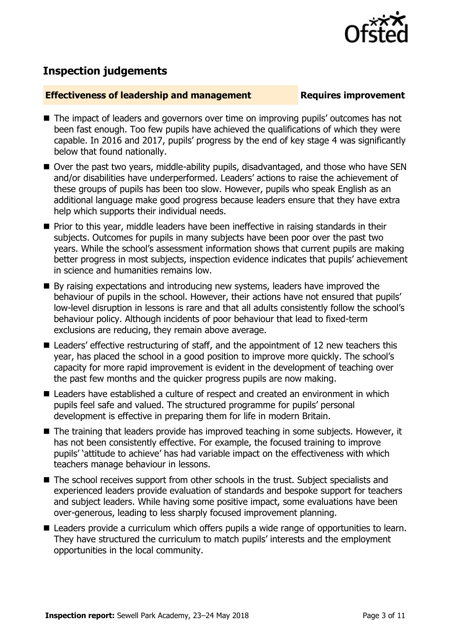

## **Inspection judgements**

### **Effectiveness of leadership and management Requires improvement**

- The impact of leaders and governors over time on improving pupils' outcomes has not been fast enough. Too few pupils have achieved the qualifications of which they were capable. In 2016 and 2017, pupils' progress by the end of key stage 4 was significantly below that found nationally.
- Over the past two years, middle-ability pupils, disadvantaged, and those who have SEN and/or disabilities have underperformed. Leaders' actions to raise the achievement of these groups of pupils has been too slow. However, pupils who speak English as an additional language make good progress because leaders ensure that they have extra help which supports their individual needs.
- **Prior to this year, middle leaders have been ineffective in raising standards in their** subjects. Outcomes for pupils in many subjects have been poor over the past two years. While the school's assessment information shows that current pupils are making better progress in most subjects, inspection evidence indicates that pupils' achievement in science and humanities remains low.
- By raising expectations and introducing new systems, leaders have improved the behaviour of pupils in the school. However, their actions have not ensured that pupils' low-level disruption in lessons is rare and that all adults consistently follow the school's behaviour policy. Although incidents of poor behaviour that lead to fixed-term exclusions are reducing, they remain above average.
- Leaders' effective restructuring of staff, and the appointment of 12 new teachers this year, has placed the school in a good position to improve more quickly. The school's capacity for more rapid improvement is evident in the development of teaching over the past few months and the quicker progress pupils are now making.
- Leaders have established a culture of respect and created an environment in which pupils feel safe and valued. The structured programme for pupils' personal development is effective in preparing them for life in modern Britain.
- The training that leaders provide has improved teaching in some subjects. However, it has not been consistently effective. For example, the focused training to improve pupils' 'attitude to achieve' has had variable impact on the effectiveness with which teachers manage behaviour in lessons.
- The school receives support from other schools in the trust. Subject specialists and experienced leaders provide evaluation of standards and bespoke support for teachers and subject leaders. While having some positive impact, some evaluations have been over-generous, leading to less sharply focused improvement planning.
- Leaders provide a curriculum which offers pupils a wide range of opportunities to learn. They have structured the curriculum to match pupils' interests and the employment opportunities in the local community.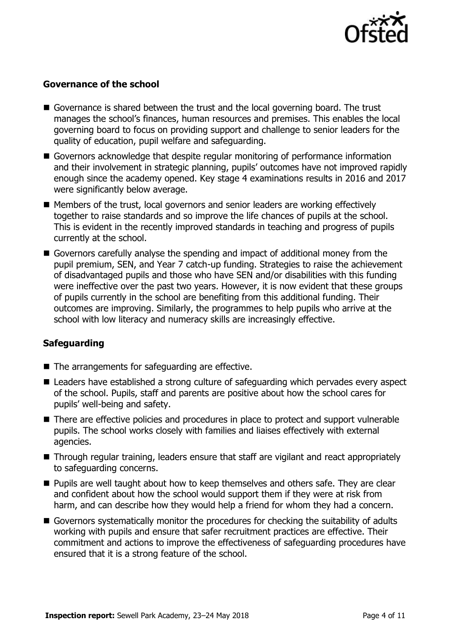

### **Governance of the school**

- Governance is shared between the trust and the local governing board. The trust manages the school's finances, human resources and premises. This enables the local governing board to focus on providing support and challenge to senior leaders for the quality of education, pupil welfare and safeguarding.
- Governors acknowledge that despite regular monitoring of performance information and their involvement in strategic planning, pupils' outcomes have not improved rapidly enough since the academy opened. Key stage 4 examinations results in 2016 and 2017 were significantly below average.
- Members of the trust, local governors and senior leaders are working effectively together to raise standards and so improve the life chances of pupils at the school. This is evident in the recently improved standards in teaching and progress of pupils currently at the school.
- Governors carefully analyse the spending and impact of additional money from the pupil premium, SEN, and Year 7 catch-up funding. Strategies to raise the achievement of disadvantaged pupils and those who have SEN and/or disabilities with this funding were ineffective over the past two years. However, it is now evident that these groups of pupils currently in the school are benefiting from this additional funding. Their outcomes are improving. Similarly, the programmes to help pupils who arrive at the school with low literacy and numeracy skills are increasingly effective.

### **Safeguarding**

- The arrangements for safeguarding are effective.
- Leaders have established a strong culture of safeguarding which pervades every aspect of the school. Pupils, staff and parents are positive about how the school cares for pupils' well-being and safety.
- There are effective policies and procedures in place to protect and support vulnerable pupils. The school works closely with families and liaises effectively with external agencies.
- Through regular training, leaders ensure that staff are vigilant and react appropriately to safeguarding concerns.
- **Pupils are well taught about how to keep themselves and others safe. They are clear** and confident about how the school would support them if they were at risk from harm, and can describe how they would help a friend for whom they had a concern.
- Governors systematically monitor the procedures for checking the suitability of adults working with pupils and ensure that safer recruitment practices are effective. Their commitment and actions to improve the effectiveness of safeguarding procedures have ensured that it is a strong feature of the school.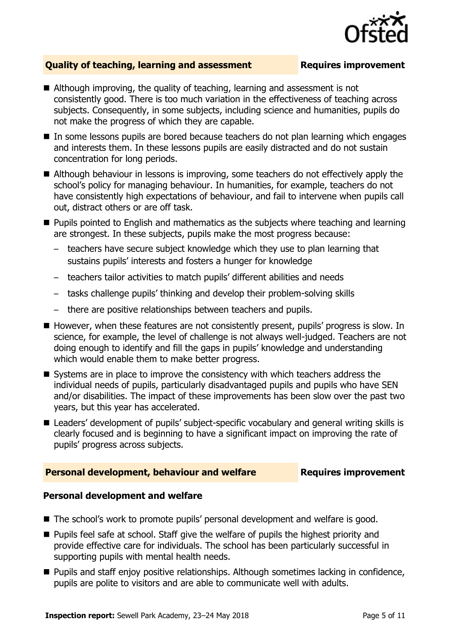

### **Quality of teaching, learning and assessment Requires improvement**

- Although improving, the quality of teaching, learning and assessment is not consistently good. There is too much variation in the effectiveness of teaching across subjects. Consequently, in some subjects, including science and humanities, pupils do not make the progress of which they are capable.
- In some lessons pupils are bored because teachers do not plan learning which engages and interests them. In these lessons pupils are easily distracted and do not sustain concentration for long periods.
- Although behaviour in lessons is improving, some teachers do not effectively apply the school's policy for managing behaviour. In humanities, for example, teachers do not have consistently high expectations of behaviour, and fail to intervene when pupils call out, distract others or are off task.
- **Pupils pointed to English and mathematics as the subjects where teaching and learning** are strongest. In these subjects, pupils make the most progress because:
	- teachers have secure subject knowledge which they use to plan learning that sustains pupils' interests and fosters a hunger for knowledge
	- teachers tailor activities to match pupils' different abilities and needs
	- tasks challenge pupils' thinking and develop their problem-solving skills
	- there are positive relationships between teachers and pupils.
- However, when these features are not consistently present, pupils' progress is slow. In science, for example, the level of challenge is not always well-judged. Teachers are not doing enough to identify and fill the gaps in pupils' knowledge and understanding which would enable them to make better progress.
- Systems are in place to improve the consistency with which teachers address the individual needs of pupils, particularly disadvantaged pupils and pupils who have SEN and/or disabilities. The impact of these improvements has been slow over the past two years, but this year has accelerated.
- Leaders' development of pupils' subject-specific vocabulary and general writing skills is clearly focused and is beginning to have a significant impact on improving the rate of pupils' progress across subjects.

### **Personal development, behaviour and welfare Fig. 2. Prequires improvement**

### **Personal development and welfare**

- The school's work to promote pupils' personal development and welfare is good.
- **Pupils feel safe at school. Staff give the welfare of pupils the highest priority and** provide effective care for individuals. The school has been particularly successful in supporting pupils with mental health needs.
- **Pupils and staff enjoy positive relationships. Although sometimes lacking in confidence,** pupils are polite to visitors and are able to communicate well with adults.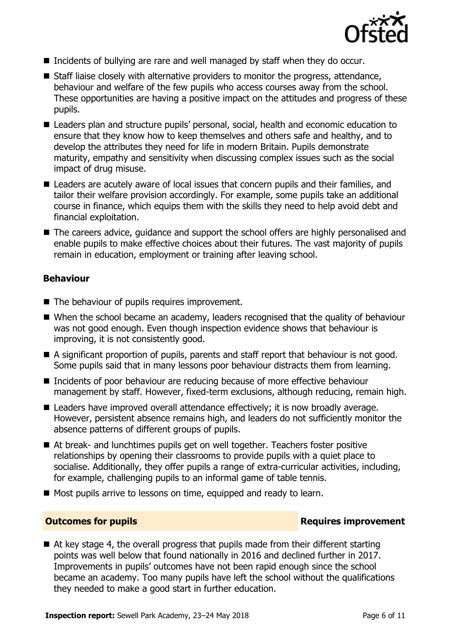

- Incidents of bullying are rare and well managed by staff when they do occur.
- $\blacksquare$  Staff liaise closely with alternative providers to monitor the progress, attendance, behaviour and welfare of the few pupils who access courses away from the school. These opportunities are having a positive impact on the attitudes and progress of these pupils.
- Leaders plan and structure pupils' personal, social, health and economic education to ensure that they know how to keep themselves and others safe and healthy, and to develop the attributes they need for life in modern Britain. Pupils demonstrate maturity, empathy and sensitivity when discussing complex issues such as the social impact of drug misuse.
- Leaders are acutely aware of local issues that concern pupils and their families, and tailor their welfare provision accordingly. For example, some pupils take an additional course in finance, which equips them with the skills they need to help avoid debt and financial exploitation.
- The careers advice, quidance and support the school offers are highly personalised and enable pupils to make effective choices about their futures. The vast majority of pupils remain in education, employment or training after leaving school.

### **Behaviour**

- The behaviour of pupils requires improvement.
- When the school became an academy, leaders recognised that the quality of behaviour was not good enough. Even though inspection evidence shows that behaviour is improving, it is not consistently good.
- A significant proportion of pupils, parents and staff report that behaviour is not good. Some pupils said that in many lessons poor behaviour distracts them from learning.
- Incidents of poor behaviour are reducing because of more effective behaviour management by staff. However, fixed-term exclusions, although reducing, remain high.
- Leaders have improved overall attendance effectively; it is now broadly average. However, persistent absence remains high, and leaders do not sufficiently monitor the absence patterns of different groups of pupils.
- At break- and lunchtimes pupils get on well together. Teachers foster positive relationships by opening their classrooms to provide pupils with a quiet place to socialise. Additionally, they offer pupils a range of extra-curricular activities, including, for example, challenging pupils to an informal game of table tennis.
- Most pupils arrive to lessons on time, equipped and ready to learn.

### **Outcomes for pupils Requires improvement**

 $\blacksquare$  At key stage 4, the overall progress that pupils made from their different starting points was well below that found nationally in 2016 and declined further in 2017. Improvements in pupils' outcomes have not been rapid enough since the school became an academy. Too many pupils have left the school without the qualifications they needed to make a good start in further education.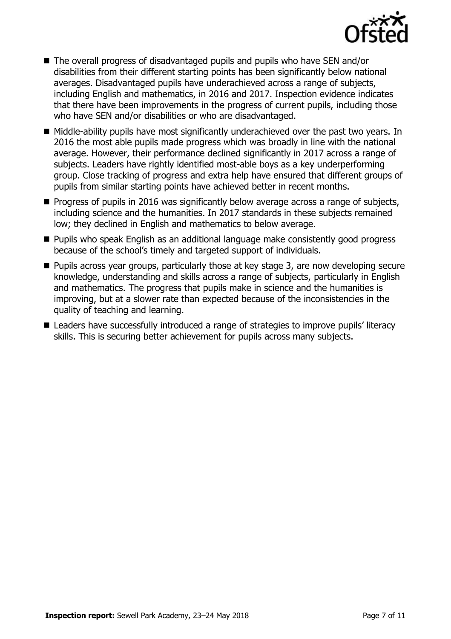

- The overall progress of disadvantaged pupils and pupils who have SEN and/or disabilities from their different starting points has been significantly below national averages. Disadvantaged pupils have underachieved across a range of subjects, including English and mathematics, in 2016 and 2017. Inspection evidence indicates that there have been improvements in the progress of current pupils, including those who have SEN and/or disabilities or who are disadvantaged.
- Middle-ability pupils have most significantly underachieved over the past two years. In 2016 the most able pupils made progress which was broadly in line with the national average. However, their performance declined significantly in 2017 across a range of subjects. Leaders have rightly identified most-able boys as a key underperforming group. Close tracking of progress and extra help have ensured that different groups of pupils from similar starting points have achieved better in recent months.
- $\blacksquare$  Progress of pupils in 2016 was significantly below average across a range of subjects, including science and the humanities. In 2017 standards in these subjects remained low; they declined in English and mathematics to below average.
- **Pupils who speak English as an additional language make consistently good progress** because of the school's timely and targeted support of individuals.
- **Pupils across year groups, particularly those at key stage 3, are now developing secure** knowledge, understanding and skills across a range of subjects, particularly in English and mathematics. The progress that pupils make in science and the humanities is improving, but at a slower rate than expected because of the inconsistencies in the quality of teaching and learning.
- Leaders have successfully introduced a range of strategies to improve pupils' literacy skills. This is securing better achievement for pupils across many subjects.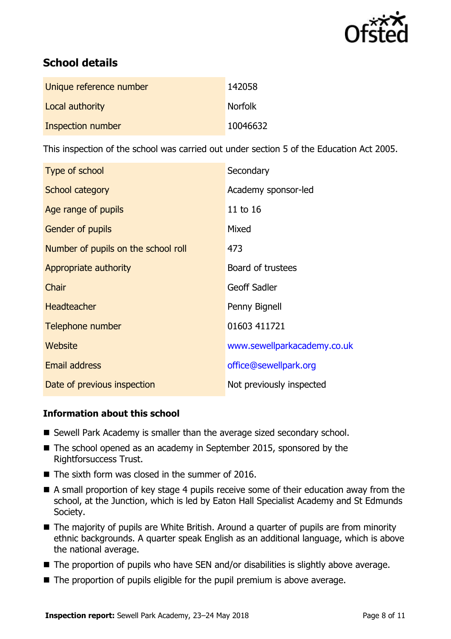

# **School details**

| Unique reference number | 142058         |
|-------------------------|----------------|
| Local authority         | <b>Norfolk</b> |
| Inspection number       | 10046632       |

This inspection of the school was carried out under section 5 of the Education Act 2005.

| Type of school                      | Secondary                   |
|-------------------------------------|-----------------------------|
| School category                     | Academy sponsor-led         |
| Age range of pupils                 | 11 to 16                    |
| <b>Gender of pupils</b>             | Mixed                       |
| Number of pupils on the school roll | 473                         |
| Appropriate authority               | Board of trustees           |
| Chair                               | <b>Geoff Sadler</b>         |
| <b>Headteacher</b>                  | Penny Bignell               |
| Telephone number                    | 01603 411721                |
| Website                             | www.sewellparkacademy.co.uk |
| <b>Email address</b>                | office@sewellpark.org       |
| Date of previous inspection         | Not previously inspected    |

### **Information about this school**

- Sewell Park Academy is smaller than the average sized secondary school.
- The school opened as an academy in September 2015, sponsored by the Rightforsuccess Trust.
- $\blacksquare$  The sixth form was closed in the summer of 2016.
- A small proportion of key stage 4 pupils receive some of their education away from the school, at the Junction, which is led by Eaton Hall Specialist Academy and St Edmunds Society.
- The majority of pupils are White British. Around a quarter of pupils are from minority ethnic backgrounds. A quarter speak English as an additional language, which is above the national average.
- The proportion of pupils who have SEN and/or disabilities is slightly above average.
- The proportion of pupils eligible for the pupil premium is above average.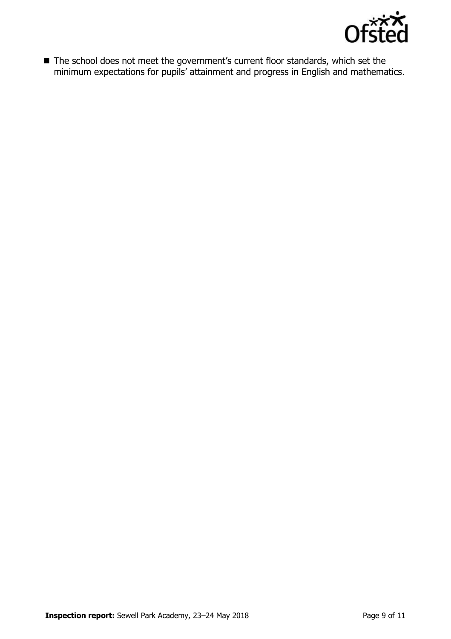

■ The school does not meet the government's current floor standards, which set the minimum expectations for pupils' attainment and progress in English and mathematics.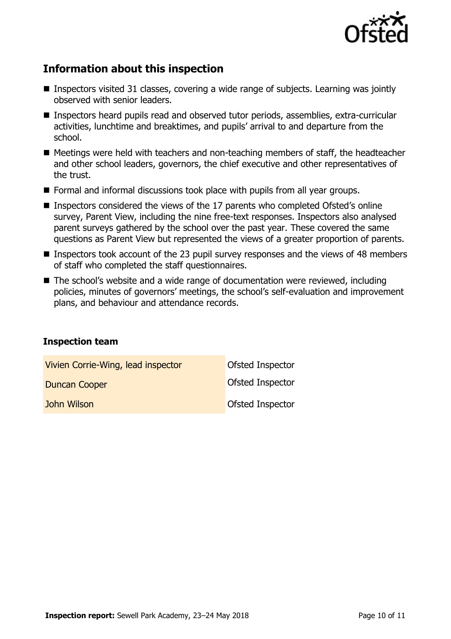

# **Information about this inspection**

- Inspectors visited 31 classes, covering a wide range of subjects. Learning was jointly observed with senior leaders.
- Inspectors heard pupils read and observed tutor periods, assemblies, extra-curricular activities, lunchtime and breaktimes, and pupils' arrival to and departure from the school.
- Meetings were held with teachers and non-teaching members of staff, the headteacher and other school leaders, governors, the chief executive and other representatives of the trust.
- **Formal and informal discussions took place with pupils from all year groups.**
- Inspectors considered the views of the 17 parents who completed Ofsted's online survey, Parent View, including the nine free-text responses. Inspectors also analysed parent surveys gathered by the school over the past year. These covered the same questions as Parent View but represented the views of a greater proportion of parents.
- Inspectors took account of the 23 pupil survey responses and the views of 48 members of staff who completed the staff questionnaires.
- The school's website and a wide range of documentation were reviewed, including policies, minutes of governors' meetings, the school's self-evaluation and improvement plans, and behaviour and attendance records.

### **Inspection team**

| Vivien Corrie-Wing, lead inspector | <b>Ofsted Inspector</b> |
|------------------------------------|-------------------------|
| <b>Duncan Cooper</b>               | Ofsted Inspector        |
| John Wilson                        | <b>Ofsted Inspector</b> |